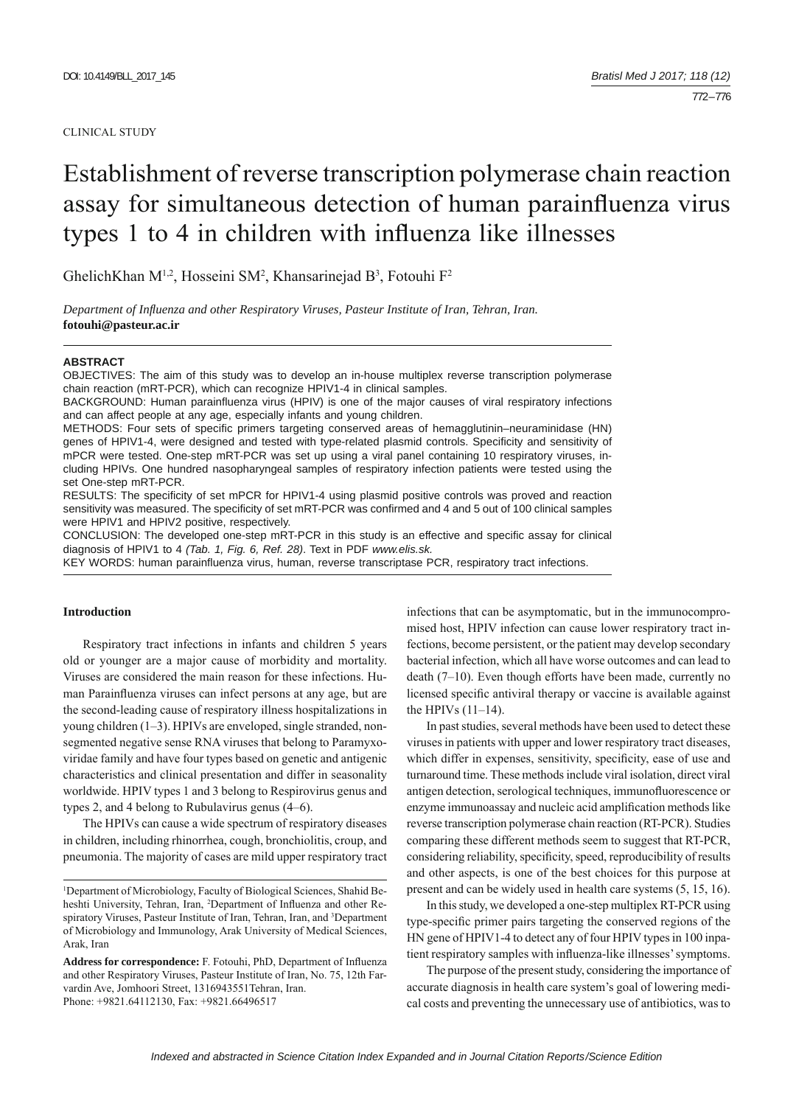#### CLINICAL STUDY

# Establishment of reverse transcription polymerase chain reaction assay for simultaneous detection of human parainfluenza virus types 1 to 4 in children with influenza like illnesses

GhelichKhan  $M^{1,2}$ , Hosseini SM<sup>2</sup>, Khansarinejad B<sup>3</sup>, Fotouhi F<sup>2</sup>

*Department of Infl uenza and other Respiratory Viruses, Pasteur Institute of Iran, Tehran, Iran.* **fotouhi@pasteur.ac.ir**

#### **ABSTRACT**

OBJECTIVES: The aim of this study was to develop an in-house multiplex reverse transcription polymerase chain reaction (mRT-PCR), which can recognize HPIV1-4 in clinical samples.

BACKGROUND: Human parainfluenza virus (HPIV) is one of the major causes of viral respiratory infections and can affect people at any age, especially infants and young children.

METHODS: Four sets of specific primers targeting conserved areas of hemagglutinin–neuraminidase (HN) genes of HPIV1-4, were designed and tested with type-related plasmid controls. Specificity and sensitivity of mPCR were tested. One-step mRT-PCR was set up using a viral panel containing 10 respiratory viruses, including HPIVs. One hundred nasopharyngeal samples of respiratory infection patients were tested using the set One-step mRT-PCR.

RESULTS: The specificity of set mPCR for HPIV1-4 using plasmid positive controls was proved and reaction sensitivity was measured. The specificity of set mRT-PCR was confirmed and 4 and 5 out of 100 clinical samples were HPIV1 and HPIV2 positive, respectively.

CONCLUSION: The developed one-step mRT-PCR in this study is an effective and specific assay for clinical diagnosis of HPIV1 to 4 *(Tab. 1, Fig. 6, Ref. 28)*. Text in PDF *www.elis.sk.*

KEY WORDS: human parainfluenza virus, human, reverse transcriptase PCR, respiratory tract infections.

# **Introduction**

Respiratory tract infections in infants and children 5 years old or younger are a major cause of morbidity and mortality. Viruses are considered the main reason for these infections. Human Parainfluenza viruses can infect persons at any age, but are the second-leading cause of respiratory illness hospitalizations in young children (1–3). HPIVs are enveloped, single stranded, nonsegmented negative sense RNA viruses that belong to Paramyxoviridae family and have four types based on genetic and antigenic characteristics and clinical presentation and differ in seasonality worldwide. HPIV types 1 and 3 belong to Respirovirus genus and types 2, and 4 belong to Rubulavirus genus (4–6).

The HPIVs can cause a wide spectrum of respiratory diseases in children, including rhinorrhea, cough, bronchiolitis, croup, and pneumonia. The majority of cases are mild upper respiratory tract infections that can be asymptomatic, but in the immunocompromised host, HPIV infection can cause lower respiratory tract infections, become persistent, or the patient may develop secondary bacterial infection, which all have worse outcomes and can lead to death (7–10). Even though efforts have been made, currently no licensed specific antiviral therapy or vaccine is available against the HPIVs (11–14).

In past studies, several methods have been used to detect these viruses in patients with upper and lower respiratory tract diseases, which differ in expenses, sensitivity, specificity, ease of use and turnaround time. These methods include viral isolation, direct viral antigen detection, serological techniques, immunofluorescence or enzyme immunoassay and nucleic acid amplification methods like reverse transcription polymerase chain reaction (RT-PCR). Studies comparing these different methods seem to suggest that RT-PCR, considering reliability, specificity, speed, reproducibility of results and other aspects, is one of the best choices for this purpose at present and can be widely used in health care systems (5, 15, 16).

In this study, we developed a one-step multiplex RT-PCR using type-specific primer pairs targeting the conserved regions of the HN gene of HPIV1-4 to detect any of four HPIV types in 100 inpatient respiratory samples with influenza-like illnesses' symptoms.

The purpose of the present study, considering the importance of accurate diagnosis in health care system's goal of lowering medical costs and preventing the unnecessary use of antibiotics, was to

<sup>&</sup>lt;sup>1</sup>Department of Microbiology, Faculty of Biological Sciences, Shahid Beheshti University, Tehran, Iran, <sup>2</sup>Department of Influenza and other Respiratory Viruses, Pasteur Institute of Iran, Tehran, Iran, and <sup>3</sup>Department of Microbiology and Immunology, Arak University of Medical Sciences, Arak, Iran

Address for correspondence: F. Fotouhi, PhD, Department of Influenza and other Respiratory Viruses, Pasteur Institute of Iran, No. 75, 12th Farvardin Ave, Jomhoori Street, 1316943551Tehran, Iran. Phone: +9821.64112130, Fax: +9821.66496517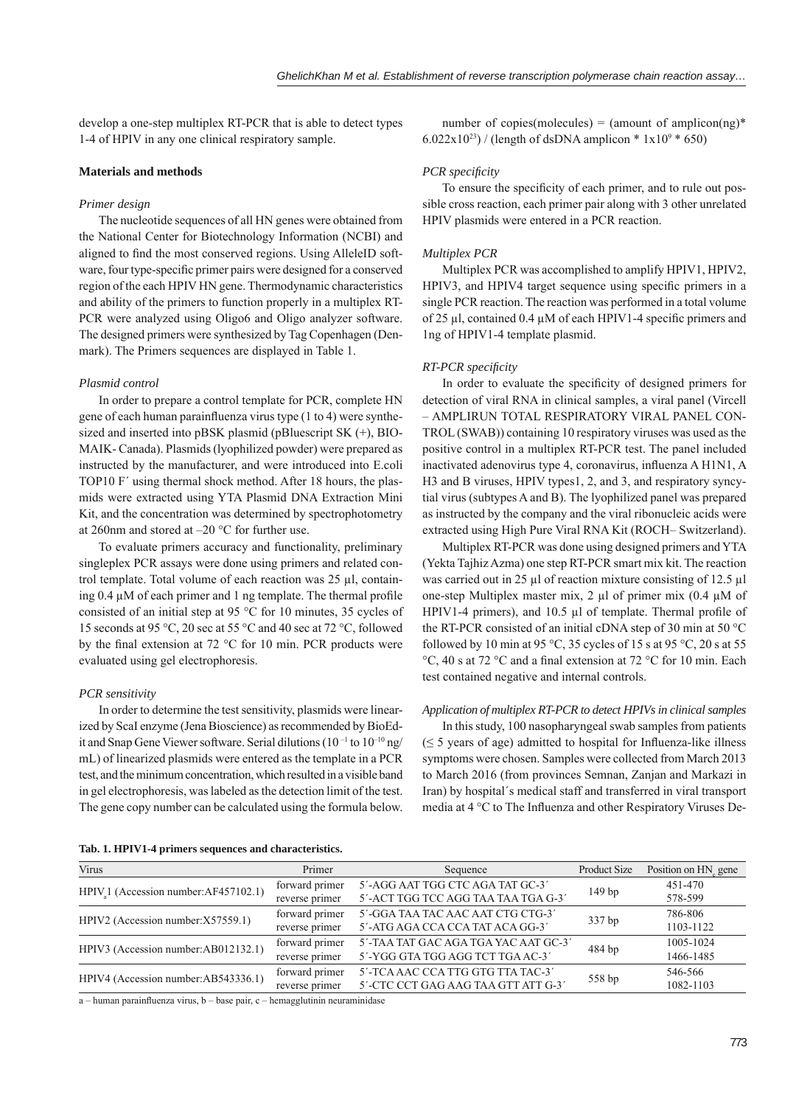develop a one-step multiplex RT-PCR that is able to detect types 1-4 of HPIV in any one clinical respiratory sample.

# **Materials and methods**

### *Primer design*

 The nucleotide sequences of all HN genes were obtained from the National Center for Biotechnology Information (NCBI) and aligned to find the most conserved regions. Using AlleleID software, four type-specific primer pairs were designed for a conserved region of the each HPIV HN gene. Thermodynamic characteristics and ability of the primers to function properly in a multiplex RT-PCR were analyzed using Oligo6 and Oligo analyzer software. The designed primers were synthesized by Tag Copenhagen (Denmark). The Primers sequences are displayed in Table 1.

# *Plasmid control*

In order to prepare a control template for PCR, complete HN gene of each human parainfluenza virus type (1 to 4) were synthesized and inserted into pBSK plasmid (pBluescript SK (+), BIO-MAIK- Canada). Plasmids (lyophilized powder) were prepared as instructed by the manufacturer, and were introduced into E.coli TOP10 F´ using thermal shock method. After 18 hours, the plasmids were extracted using YTA Plasmid DNA Extraction Mini Kit, and the concentration was determined by spectrophotometry at 260nm and stored at –20 °C for further use.

To evaluate primers accuracy and functionality, preliminary singleplex PCR assays were done using primers and related control template. Total volume of each reaction was 25 μl, containing  $0.4 \mu M$  of each primer and 1 ng template. The thermal profile consisted of an initial step at 95 °C for 10 minutes, 35 cycles of 15 seconds at 95 °C, 20 sec at 55 °C and 40 sec at 72 °C, followed by the final extension at 72  $^{\circ}$ C for 10 min. PCR products were evaluated using gel electrophoresis.

## *PCR sensitivity*

In order to determine the test sensitivity, plasmids were linearized by ScaI enzyme (Jena Bioscience) as recommended by BioEdit and Snap Gene Viewer software. Serial dilutions (10<sup>-1</sup> to 10<sup>-10</sup> ng/ mL) of linearized plasmids were entered as the template in a PCR test, and the minimum concentration, which resulted in a visible band in gel electrophoresis, was labeled as the detection limit of the test. The gene copy number can be calculated using the formula below.

number of copies(molecules) = (amount of amplicon(ng)\* 6.022x10<sup>23</sup>) / (length of dsDNA amplicon \*  $1x10^9$  \* 650)

## *PCR specifi city*

To ensure the specificity of each primer, and to rule out possible cross reaction, each primer pair along with 3 other unrelated HPIV plasmids were entered in a PCR reaction.

### *Multiplex PCR*

Multiplex PCR was accomplished to amplify HPIV1, HPIV2, HPIV3, and HPIV4 target sequence using specific primers in a single PCR reaction. The reaction was performed in a total volume of 25 μl, contained 0.4 μM of each HPIV1-4 specific primers and 1ng of HPIV1-4 template plasmid.

### *RT-PCR specifi city*

In order to evaluate the specificity of designed primers for detection of viral RNA in clinical samples, a viral panel (Vircell – AMPLIRUN TOTAL RESPIRATORY VIRAL PANEL CON-TROL (SWAB)) containing 10 respiratory viruses was used as the positive control in a multiplex RT-PCR test. The panel included inactivated adenovirus type 4, coronavirus, influenza A H1N1, A H3 and B viruses, HPIV types1, 2, and 3, and respiratory syncytial virus (subtypes A and B). The lyophilized panel was prepared as instructed by the company and the viral ribonucleic acids were extracted using High Pure Viral RNA Kit (ROCH– Switzerland).

Multiplex RT-PCR was done using designed primers and YTA (Yekta Tajhiz Azma) one step RT-PCR smart mix kit. The reaction was carried out in 25 μl of reaction mixture consisting of 12.5 μl one-step Multiplex master mix, 2 μl of primer mix (0.4 μM of HPIV1-4 primers), and 10.5  $\mu$ l of template. Thermal profile of the RT-PCR consisted of an initial cDNA step of 30 min at 50 °C followed by 10 min at 95 °C, 35 cycles of 15 s at 95 °C, 20 s at 55 °C, 40 s at 72 °C and a final extension at 72 °C for 10 min. Each test contained negative and internal controls.

# *Application of multiplex RT-PCR to detect HPIVs in clinical samples*

In this study, 100 nasopharyngeal swab samples from patients  $(\leq 5$  years of age) admitted to hospital for Influenza-like illness symptoms were chosen. Samples were collected from March 2013 to March 2016 (from provinces Semnan, Zanjan and Markazi in Iran) by hospital´s medical staff and transferred in viral transport media at 4 °C to The Influenza and other Respiratory Viruses De-

| Tab. 1. HPIV1-4 primers sequences and characteristics. |  |
|--------------------------------------------------------|--|
|                                                        |  |

| Virus                                           | Primer         | Sequence                             | Product Size      | Position on HN gene |
|-------------------------------------------------|----------------|--------------------------------------|-------------------|---------------------|
| HPIV <sub>1</sub> (Accession number:AF457102.1) | forward primer | 5'-AGG AAT TGG CTC AGA TAT GC-3'     |                   | 451-470             |
|                                                 | reverse primer | 5'-ACT TGG TCC AGG TAA TAA TGA G-3'  | 149 <sub>bp</sub> | 578-599             |
| HPIV2 (Accession number:X57559.1)               | forward primer | 5'-GGA TAA TAC AAC AAT CTG CTG-3'    |                   | 786-806             |
|                                                 | reverse primer | 5'-ATG AGA CCA CCA TAT ACA GG-3'     | 337 bp            | 1103-1122           |
| HPIV3 (Accession number:AB012132.1)             | forward primer | 5'-TAA TAT GAC AGA TGA YAC AAT GC-3' |                   | 1005-1024           |
|                                                 | reverse primer | 5'-YGG GTA TGG AGG TCT TGA AC-3'     | 484 bp            | 1466-1485           |
| HPIV4 (Accession number:AB543336.1)             | forward primer | 5'-TCA AAC CCA TTG GTG TTA TAC-3'    |                   | 546-566             |
|                                                 | reverse primer | 5'-CTC CCT GAG AAG TAA GTT ATT G-3'  | 558 bp            | 1082-1103           |

a – human parainfluenza virus, b – base pair, c – hemagglutinin neuraminidase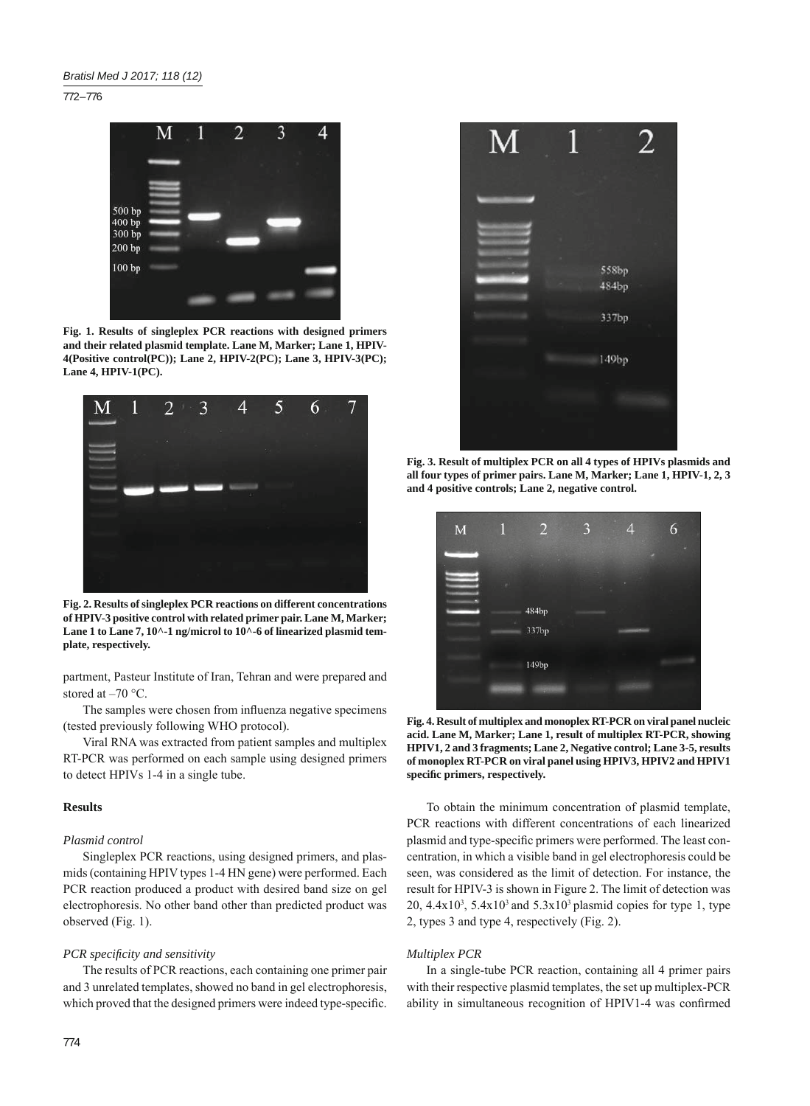772 – 776



**Fig. 1. Results of singleplex PCR reactions with designed primers and their related plasmid template. Lane M, Marker; Lane 1, HPIV-4(Positive control(PC)); Lane 2, HPIV-2(PC); Lane 3, HPIV-3(PC); Lane 4, HPIV-1(PC).**



**Fig. 2. Results of singleplex PCR reactions on different concentrations of HPIV-3 positive control with related primer pair. Lane M, Marker;**  Lane 1 to Lane 7, 10^-1 ng/microl to 10^-6 of linearized plasmid tem**plate, respectively.**

partment, Pasteur Institute of Iran, Tehran and were prepared and stored at  $-70$  °C.

The samples were chosen from influenza negative specimens (tested previously following WHO protocol).

Viral RNA was extracted from patient samples and multiplex RT-PCR was performed on each sample using designed primers to detect HPIVs 1-4 in a single tube.

# **Results**

## *Plasmid control*

Singleplex PCR reactions, using designed primers, and plasmids (containing HPIV types 1-4 HN gene) were performed. Each PCR reaction produced a product with desired band size on gel electrophoresis. No other band other than predicted product was observed (Fig. 1).

# *PCR specificity and sensitivity*

The results of PCR reactions, each containing one primer pair and 3 unrelated templates, showed no band in gel electrophoresis, which proved that the designed primers were indeed type-specific.



**Fig. 3. Result of multiplex PCR on all 4 types of HPIVs plasmids and all four types of primer pairs. Lane M, Marker; Lane 1, HPIV-1, 2, 3 and 4 positive controls; Lane 2, negative control.**



**Fig. 4. Result of multiplex and monoplex RT-PCR on viral panel nucleic acid. Lane M, Marker; Lane 1, result of multiplex RT-PCR, showing HPIV1, 2 and 3 fragments; Lane 2, Negative control; Lane 3-5, results of monoplex RT-PCR on viral panel using HPIV3, HPIV2 and HPIV1 specifi c primers, respectively.**

To obtain the minimum concentration of plasmid template, PCR reactions with different concentrations of each linearized plasmid and type-specific primers were performed. The least concentration, in which a visible band in gel electrophoresis could be seen, was considered as the limit of detection. For instance, the result for HPIV-3 is shown in Figure 2. The limit of detection was 20,  $4.4x10^3$ ,  $5.4x10^3$  and  $5.3x10^3$  plasmid copies for type 1, type 2, types 3 and type 4, respectively (Fig. 2).

# *Multiplex PCR*

In a single-tube PCR reaction, containing all 4 primer pairs with their respective plasmid templates, the set up multiplex-PCR ability in simultaneous recognition of HPIV1-4 was confirmed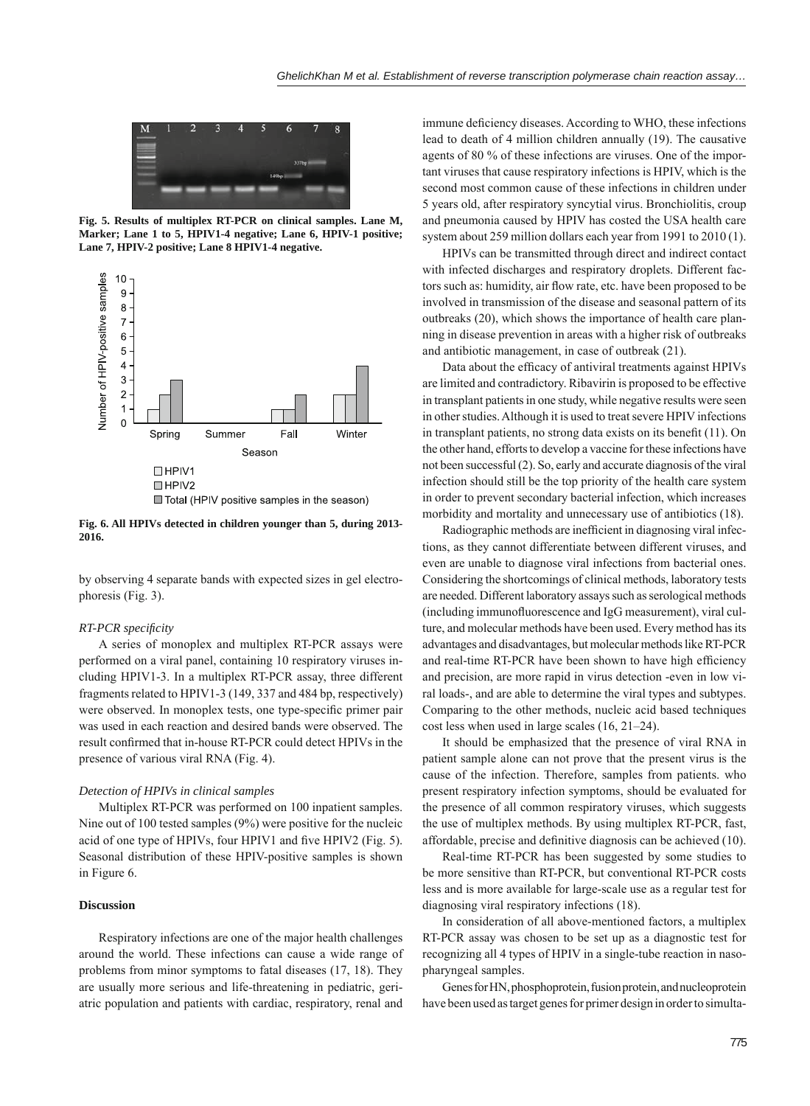

**Fig. 5. Results of multiplex RT-PCR on clinical samples. Lane M, Marker; Lane 1 to 5, HPIV1-4 negative; Lane 6, HPIV-1 positive; Lane 7, HPIV-2 positive; Lane 8 HPIV1-4 negative.**



**Fig. 6. All HPIVs detected in children younger than 5, during 2013- 2016.**

by observing 4 separate bands with expected sizes in gel electrophoresis (Fig. 3).

#### *RT-PCR specifi city*

A series of monoplex and multiplex RT-PCR assays were performed on a viral panel, containing 10 respiratory viruses including HPIV1-3. In a multiplex RT-PCR assay, three different fragments related to HPIV1-3 (149, 337 and 484 bp, respectively) were observed. In monoplex tests, one type-specific primer pair was used in each reaction and desired bands were observed. The result confirmed that in-house RT-PCR could detect HPIVs in the presence of various viral RNA (Fig. 4).

#### *Detection of HPIVs in clinical samples*

Multiplex RT-PCR was performed on 100 inpatient samples. Nine out of 100 tested samples (9%) were positive for the nucleic acid of one type of HPIVs, four HPIV1 and five HPIV2 (Fig. 5). Seasonal distribution of these HPIV-positive samples is shown in Figure 6.

## **Discussion**

Respiratory infections are one of the major health challenges around the world. These infections can cause a wide range of problems from minor symptoms to fatal diseases (17, 18). They are usually more serious and life-threatening in pediatric, geriatric population and patients with cardiac, respiratory, renal and

immune deficiency diseases. According to WHO, these infections lead to death of 4 million children annually (19). The causative agents of 80 % of these infections are viruses. One of the important viruses that cause respiratory infections is HPIV, which is the second most common cause of these infections in children under 5 years old, after respiratory syncytial virus. Bronchiolitis, croup and pneumonia caused by HPIV has costed the USA health care system about 259 million dollars each year from 1991 to 2010 (1).

HPIVs can be transmitted through direct and indirect contact with infected discharges and respiratory droplets. Different factors such as: humidity, air flow rate, etc. have been proposed to be involved in transmission of the disease and seasonal pattern of its outbreaks (20), which shows the importance of health care planning in disease prevention in areas with a higher risk of outbreaks and antibiotic management, in case of outbreak (21).

Data about the efficacy of antiviral treatments against HPIVs are limited and contradictory. Ribavirin is proposed to be effective in transplant patients in one study, while negative results were seen in other studies. Although it is used to treat severe HPIV infections in transplant patients, no strong data exists on its benefit  $(11)$ . On the other hand, efforts to develop a vaccine for these infections have not been successful (2). So, early and accurate diagnosis of the viral infection should still be the top priority of the health care system in order to prevent secondary bacterial infection, which increases morbidity and mortality and unnecessary use of antibiotics (18).

Radiographic methods are inefficient in diagnosing viral infections, as they cannot differentiate between different viruses, and even are unable to diagnose viral infections from bacterial ones. Considering the shortcomings of clinical methods, laboratory tests are needed. Different laboratory assays such as serological methods (including immunofluorescence and IgG measurement), viral culture, and molecular methods have been used. Every method has its advantages and disadvantages, but molecular methods like RT-PCR and real-time RT-PCR have been shown to have high efficiency and precision, are more rapid in virus detection -even in low viral loads-, and are able to determine the viral types and subtypes. Comparing to the other methods, nucleic acid based techniques cost less when used in large scales (16, 21–24).

It should be emphasized that the presence of viral RNA in patient sample alone can not prove that the present virus is the cause of the infection. Therefore, samples from patients. who present respiratory infection symptoms, should be evaluated for the presence of all common respiratory viruses, which suggests the use of multiplex methods. By using multiplex RT-PCR, fast, affordable, precise and definitive diagnosis can be achieved (10).

Real-time RT-PCR has been suggested by some studies to be more sensitive than RT-PCR, but conventional RT-PCR costs less and is more available for large-scale use as a regular test for diagnosing viral respiratory infections (18).

In consideration of all above-mentioned factors, a multiplex RT-PCR assay was chosen to be set up as a diagnostic test for recognizing all 4 types of HPIV in a single-tube reaction in nasopharyngeal samples.

Genes for HN, phosphoprotein, fusion protein, and nucleoprotein have been used as target genes for primer design in order to simulta-